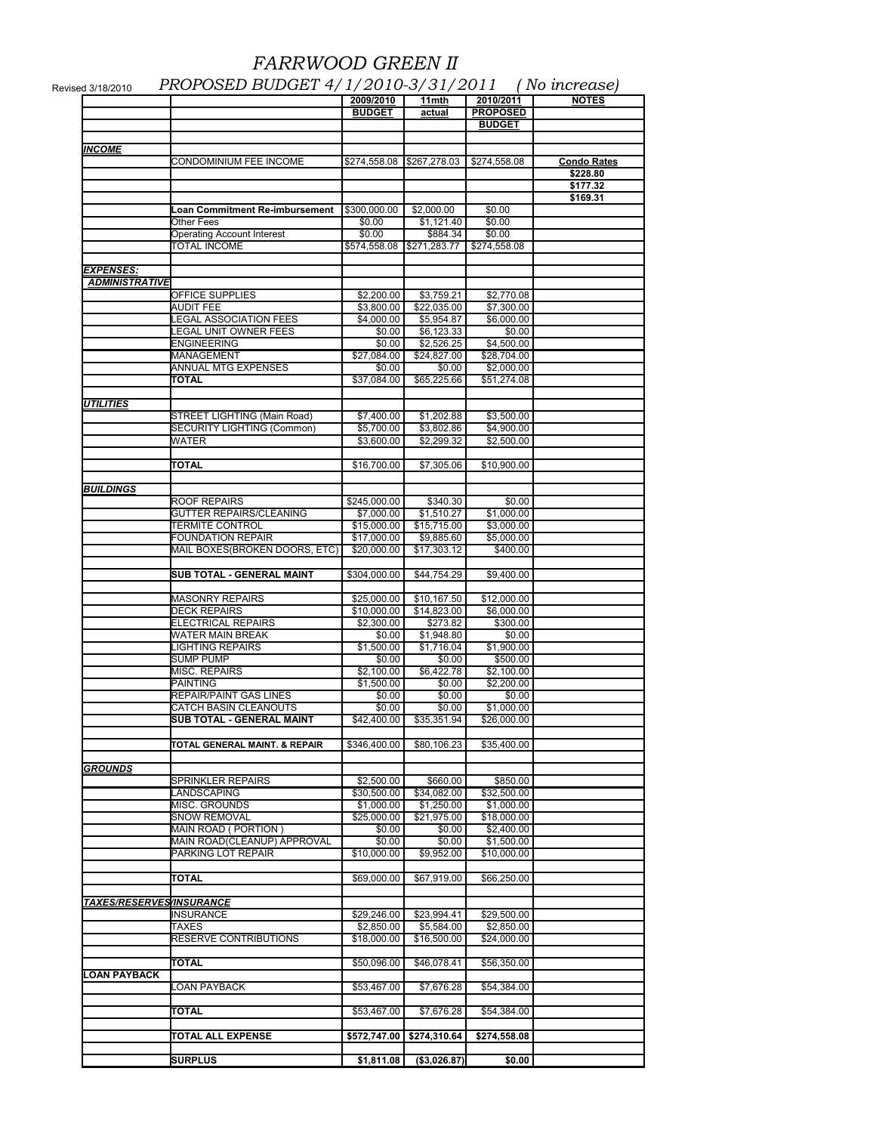## *FARRWOOD GREEN II*

|                          |                                                                  | 2009/2010<br><b>BUDGET</b> | 11mth<br>actual           | 2010/2011<br><b>PROPOSED</b><br><b>BUDGET</b> | <b>NOTES</b>       |
|--------------------------|------------------------------------------------------------------|----------------------------|---------------------------|-----------------------------------------------|--------------------|
|                          |                                                                  |                            |                           |                                               |                    |
| <b>INCOME</b>            |                                                                  |                            |                           |                                               |                    |
|                          | CONDOMINIUM FEE INCOME                                           |                            |                           | \$274,558.08                                  | <b>Condo Rates</b> |
|                          |                                                                  |                            |                           |                                               | \$228.80           |
|                          |                                                                  |                            |                           |                                               | \$177.32           |
|                          |                                                                  |                            |                           |                                               | \$169.31           |
|                          | Loan Commitment Re-imbursement<br>Other Fees                     | \$300,000.00<br>\$0.00     | \$2,000.00<br>\$1,121.40  | \$0.00<br>\$0.00                              |                    |
|                          | <b>Operating Account Interest</b>                                | \$0.00                     | \$884.34                  | \$0.00                                        |                    |
|                          | <b>TOTAL INCOME</b>                                              | \$574,558.08               | \$271,283.77              | \$274,558.08                                  |                    |
|                          |                                                                  |                            |                           |                                               |                    |
| EXPENSES:                |                                                                  |                            |                           |                                               |                    |
| <b>ADMINISTRATIVE</b>    |                                                                  |                            |                           |                                               |                    |
|                          | <b>OFFICE SUPPLIES</b>                                           | \$2,200.00                 | \$3,759.21                | \$2,770.08                                    |                    |
|                          | <b>AUDIT FEE</b><br>LEGAL ASSOCIATION FEES                       | \$3,800.00<br>\$4,000.00   | \$22,035.00<br>\$5,954.87 | \$7,300.00<br>\$6,000.00                      |                    |
|                          | LEGAL UNIT OWNER FEES                                            | \$0.00                     | \$6,123.33                | \$0.00                                        |                    |
|                          | <b>ENGINEERING</b>                                               | \$0.00                     | \$2,526.25                | \$4,500.00                                    |                    |
|                          | MANAGEMENT                                                       | \$27,084.00                | \$24,827.00               | \$28,704.00                                   |                    |
|                          | ANNUAL MTG EXPENSES                                              | \$0.00                     | \$0.00                    | \$2,000.00                                    |                    |
|                          | TOTAL                                                            | \$37,084.00                | \$65,225.66               | \$51,274.08                                   |                    |
|                          |                                                                  |                            |                           |                                               |                    |
| <b>UTILITIES</b>         |                                                                  |                            |                           |                                               |                    |
|                          | STREET LIGHTING (Main Road)<br><b>SECURITY LIGHTING (Common)</b> | \$7,400.00<br>\$5,700.00   | \$1,202.88<br>\$3,802.86  | \$3,500.00<br>\$4,900.00                      |                    |
|                          | WATER                                                            | \$3,600.00                 | \$2,299.32                | \$2,500.00                                    |                    |
|                          |                                                                  |                            |                           |                                               |                    |
|                          | <b>TOTAL</b>                                                     | \$16,700.00                | \$7,305.06                | \$10,900.00                                   |                    |
|                          |                                                                  |                            |                           |                                               |                    |
| BUILDINGS                |                                                                  |                            |                           |                                               |                    |
|                          | ROOF REPAIRS                                                     | \$245,000.00               | \$340.30                  | \$0.00                                        |                    |
|                          | GUTTER REPAIRS/CLEANING                                          | \$7,000.00                 | \$1,510.27                | \$1,000.00                                    |                    |
|                          | <b>TERMITE CONTROL</b><br><b>FOUNDATION REPAIR</b>               | \$15,000.00<br>\$17,000.00 | \$15,715.00<br>\$9,885.60 | \$3,000.00<br>\$5,000.00                      |                    |
|                          | MAIL BOXES(BROKEN DOORS, ETC)                                    | \$20,000.00                | \$17,303.12               | \$400.00                                      |                    |
|                          |                                                                  |                            |                           |                                               |                    |
|                          | SUB TOTAL - GENERAL MAINT                                        | \$304,000.00               | \$44,754.29               | \$9,400.00                                    |                    |
|                          |                                                                  |                            |                           |                                               |                    |
|                          | <b>MASONRY REPAIRS</b>                                           | \$25,000.00                | \$10,167.50               | \$12,000.00                                   |                    |
|                          | <b>DECK REPAIRS</b><br><b>ELECTRICAL REPAIRS</b>                 | \$10,000.00<br>\$2,300.00  | \$14,823.00<br>\$273.82   | \$6,000.00<br>\$300.00                        |                    |
|                          | WATER MAIN BREAK                                                 | \$0.00                     | \$1,948.80                | \$0.00                                        |                    |
|                          | LIGHTING REPAIRS                                                 | \$1,500.00                 | \$1,716.04                | \$1,900.00                                    |                    |
|                          | <b>SUMP PUMP</b>                                                 | \$0.00                     | \$0.00                    | \$500.00                                      |                    |
|                          | MISC. REPAIRS                                                    | \$2,100.00                 | \$6,422.78                | \$2,100.00                                    |                    |
|                          | <b>PAINTING</b>                                                  | \$1,500.00                 | \$0.00                    | \$2,200.00                                    |                    |
|                          | REPAIR/PAINT GAS LINES                                           | \$0.00                     | \$0.00                    | \$0.00                                        |                    |
|                          | CATCH BASIN CLEANOUTS                                            | \$0.00                     | \$0.00                    | \$1,000.00                                    |                    |
|                          | SUB TOTAL - GENERAL MAINT                                        | \$42,400.00                | \$35,351.94               | \$26,000.00                                   |                    |
|                          | TOTAL GENERAL MAINT. & REPAIR                                    | \$346,400.00               | \$80,106.23               | \$35,400.00                                   |                    |
|                          |                                                                  |                            |                           |                                               |                    |
| GROUNDS                  |                                                                  |                            |                           |                                               |                    |
|                          | <b>SPRINKLER REPAIRS</b>                                         | \$2,500.00                 | \$660.00                  | \$850.00                                      |                    |
|                          | LANDSCAPING                                                      | \$30,500.00                | \$34,082.00               | \$32,500.00                                   |                    |
|                          | <b>MISC. GROUNDS</b>                                             | \$1,000.00                 | \$1,250.00                | \$1,000.00<br>\$18,000.00                     |                    |
|                          |                                                                  |                            |                           |                                               |                    |
|                          | SNOW REMOVAL                                                     | \$25,000.00                | \$21,975.00               |                                               |                    |
|                          | MAIN ROAD (PORTION)                                              | \$0.00                     | \$0.00                    | \$2,400.00                                    |                    |
|                          | MAIN ROAD(CLEANUP) APPROVAL<br>PARKING LOT REPAIR                | \$0.00<br>\$10,000.00      | \$0.00<br>\$9,952.00      | \$1,500.00<br>\$10,000.00                     |                    |
|                          |                                                                  |                            |                           |                                               |                    |
|                          | TOTAL                                                            | \$69,000.00                | \$67,919.00               | \$66,250.00                                   |                    |
|                          |                                                                  |                            |                           |                                               |                    |
| TAXES/RESERVES/INSURANCE |                                                                  |                            |                           |                                               |                    |
|                          | INSURANCE                                                        | \$29,246.00                | \$23,994.41               | \$29,500.00                                   |                    |
|                          | TAXES                                                            | \$2,850.00                 | \$5,584.00                | \$2,850.00                                    |                    |
|                          | RESERVE CONTRIBUTIONS                                            | \$18,000.00                | \$16,500.00               | \$24,000.00                                   |                    |
|                          | TOTAL                                                            | \$50,096.00                | \$46,078.41               | \$56,350.00                                   |                    |
| LOAN PAYBACK             |                                                                  |                            |                           |                                               |                    |
|                          | LOAN PAYBACK                                                     | \$53,467.00                | \$7,676.28                | \$54,384.00                                   |                    |
|                          |                                                                  |                            |                           |                                               |                    |
|                          | TOTAL                                                            | \$53,467.00                | \$7,676.28                | \$54,384.00                                   |                    |
|                          | TOTAL ALL EXPENSE                                                | \$572,747.00               | \$274,310.64              | \$274,558.08                                  |                    |